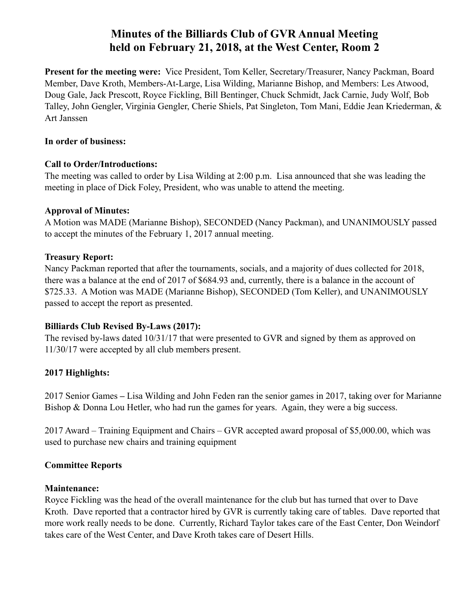# **Minutes of the Billiards Club of GVR Annual Meeting held on February 21, 2018, at the West Center, Room 2**

**Present for the meeting were:** Vice President, Tom Keller, Secretary/Treasurer, Nancy Packman, Board Member, Dave Kroth, Members-At-Large, Lisa Wilding, Marianne Bishop, and Members: Les Atwood, Doug Gale, Jack Prescott, Royce Fickling, Bill Bentinger, Chuck Schmidt, Jack Carnie, Judy Wolf, Bob Talley, John Gengler, Virginia Gengler, Cherie Shiels, Pat Singleton, Tom Mani, Eddie Jean Kriederman, & Art Janssen

#### **In order of business:**

# **Call to Order/Introductions:**

The meeting was called to order by Lisa Wilding at 2:00 p.m. Lisa announced that she was leading the meeting in place of Dick Foley, President, who was unable to attend the meeting.

#### **Approval of Minutes:**

A Motion was MADE (Marianne Bishop), SECONDED (Nancy Packman), and UNANIMOUSLY passed to accept the minutes of the February 1, 2017 annual meeting.

#### **Treasury Report:**

Nancy Packman reported that after the tournaments, socials, and a majority of dues collected for 2018, there was a balance at the end of 2017 of \$684.93 and, currently, there is a balance in the account of \$725.33. A Motion was MADE (Marianne Bishop), SECONDED (Tom Keller), and UNANIMOUSLY passed to accept the report as presented.

# **Billiards Club Revised By-Laws (2017):**

The revised by-laws dated 10/31/17 that were presented to GVR and signed by them as approved on 11/30/17 were accepted by all club members present.

# **2017 Highlights:**

2017 Senior Games **–** Lisa Wilding and John Feden ran the senior games in 2017, taking over for Marianne Bishop & Donna Lou Hetler, who had run the games for years. Again, they were a big success.

2017 Award – Training Equipment and Chairs – GVR accepted award proposal of \$5,000.00, which was used to purchase new chairs and training equipment

# **Committee Reports**

#### **Maintenance:**

Royce Fickling was the head of the overall maintenance for the club but has turned that over to Dave Kroth. Dave reported that a contractor hired by GVR is currently taking care of tables. Dave reported that more work really needs to be done. Currently, Richard Taylor takes care of the East Center, Don Weindorf takes care of the West Center, and Dave Kroth takes care of Desert Hills.